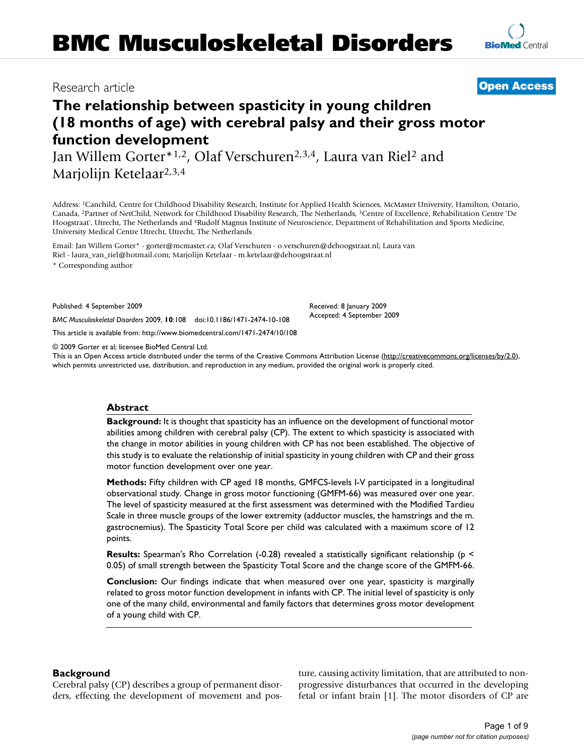## Research article **[Open Access](http://www.biomedcentral.com/info/about/charter/)**

# **The relationship between spasticity in young children (18 months of age) with cerebral palsy and their gross motor function development**

Jan Willem Gorter\*1,2, Olaf Verschuren2,3,4, Laura van Riel2 and Marjolijn Ketelaar2,3,4

Address: 1Canchild, Centre for Childhood Disability Research, Institute for Applied Health Sciences, McMaster University, Hamilton, Ontario, Canada, 2Partner of NetChild, Network for Childhood Disability Research, The Netherlands, 3Centre of Excellence, Rehabilitation Centre 'De Hoogstraat', Utrecht, The Netherlands and 4Rudolf Magnus Institute of Neuroscience, Department of Rehabilitation and Sports Medicine, University Medical Centre Utrecht, Utrecht, The Netherlands

Email: Jan Willem Gorter\* - gorter@mcmaster.ca; Olaf Verschuren - o.verschuren@dehoogstraat.nl; Laura van Riel - laura\_van\_riel@hotmail.com; Marjolijn Ketelaar - m.ketelaar@dehoogstraat.nl

\* Corresponding author

Published: 4 September 2009

*BMC Musculoskeletal Disorders* 2009, **10**:108 doi:10.1186/1471-2474-10-108

[This article is available from: http://www.biomedcentral.com/1471-2474/10/108](http://www.biomedcentral.com/1471-2474/10/108)

© 2009 Gorter et al; licensee BioMed Central Ltd.

This is an Open Access article distributed under the terms of the Creative Commons Attribution License [\(http://creativecommons.org/licenses/by/2.0\)](http://creativecommons.org/licenses/by/2.0), which permits unrestricted use, distribution, and reproduction in any medium, provided the original work is properly cited.

Received: 8 January 2009 Accepted: 4 September 2009

## **Abstract**

**Background:** It is thought that spasticity has an influence on the development of functional motor abilities among children with cerebral palsy (CP). The extent to which spasticity is associated with the change in motor abilities in young children with CP has not been established. The objective of this study is to evaluate the relationship of initial spasticity in young children with CP and their gross motor function development over one year.

**Methods:** Fifty children with CP aged 18 months, GMFCS-levels I-V participated in a longitudinal observational study. Change in gross motor functioning (GMFM-66) was measured over one year. The level of spasticity measured at the first assessment was determined with the Modified Tardieu Scale in three muscle groups of the lower extremity (adductor muscles, the hamstrings and the m. gastrocnemius). The Spasticity Total Score per child was calculated with a maximum score of 12 points.

**Results:** Spearman's Rho Correlation (-0.28) revealed a statistically significant relationship (p < 0.05) of small strength between the Spasticity Total Score and the change score of the GMFM-66.

**Conclusion:** Our findings indicate that when measured over one year, spasticity is marginally related to gross motor function development in infants with CP. The initial level of spasticity is only one of the many child, environmental and family factors that determines gross motor development of a young child with CP.

## **Background**

Cerebral palsy (CP) describes a group of permanent disorders, effecting the development of movement and posture, causing activity limitation, that are attributed to nonprogressive disturbances that occurred in the developing fetal or infant brain [1]. The motor disorders of CP are

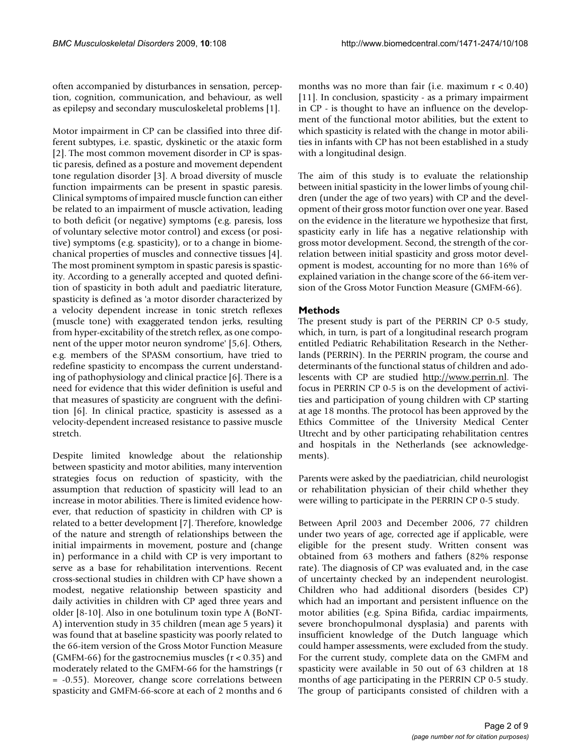often accompanied by disturbances in sensation, perception, cognition, communication, and behaviour, as well as epilepsy and secondary musculoskeletal problems [1].

Motor impairment in CP can be classified into three different subtypes, i.e. spastic, dyskinetic or the ataxic form [2]. The most common movement disorder in CP is spastic paresis, defined as a posture and movement dependent tone regulation disorder [3]. A broad diversity of muscle function impairments can be present in spastic paresis. Clinical symptoms of impaired muscle function can either be related to an impairment of muscle activation, leading to both deficit (or negative) symptoms (e.g. paresis, loss of voluntary selective motor control) and excess (or positive) symptoms (e.g. spasticity), or to a change in biomechanical properties of muscles and connective tissues [4]. The most prominent symptom in spastic paresis is spasticity. According to a generally accepted and quoted definition of spasticity in both adult and paediatric literature, spasticity is defined as 'a motor disorder characterized by a velocity dependent increase in tonic stretch reflexes (muscle tone) with exaggerated tendon jerks, resulting from hyper-excitability of the stretch reflex, as one component of the upper motor neuron syndrome' [5,6]. Others, e.g. members of the SPASM consortium, have tried to redefine spasticity to encompass the current understanding of pathophysiology and clinical practice [6]. There is a need for evidence that this wider definition is useful and that measures of spasticity are congruent with the definition [6]. In clinical practice, spasticity is assessed as a velocity-dependent increased resistance to passive muscle stretch.

Despite limited knowledge about the relationship between spasticity and motor abilities, many intervention strategies focus on reduction of spasticity, with the assumption that reduction of spasticity will lead to an increase in motor abilities. There is limited evidence however, that reduction of spasticity in children with CP is related to a better development [7]. Therefore, knowledge of the nature and strength of relationships between the initial impairments in movement, posture and (change in) performance in a child with CP is very important to serve as a base for rehabilitation interventions. Recent cross-sectional studies in children with CP have shown a modest, negative relationship between spasticity and daily activities in children with CP aged three years and older [8-10]. Also in one botulinum toxin type A (BoNT-A) intervention study in 35 children (mean age 5 years) it was found that at baseline spasticity was poorly related to the 66-item version of the Gross Motor Function Measure (GMFM-66) for the gastrocnemius muscles ( $r < 0.35$ ) and moderately related to the GMFM-66 for the hamstrings (r = -0.55). Moreover, change score correlations between spasticity and GMFM-66-score at each of 2 months and 6

months was no more than fair (i.e. maximum  $r < 0.40$ ) [11]. In conclusion, spasticity - as a primary impairment in CP - is thought to have an influence on the development of the functional motor abilities, but the extent to which spasticity is related with the change in motor abilities in infants with CP has not been established in a study with a longitudinal design.

The aim of this study is to evaluate the relationship between initial spasticity in the lower limbs of young children (under the age of two years) with CP and the development of their gross motor function over one year. Based on the evidence in the literature we hypothesize that first, spasticity early in life has a negative relationship with gross motor development. Second, the strength of the correlation between initial spasticity and gross motor development is modest, accounting for no more than 16% of explained variation in the change score of the 66-item version of the Gross Motor Function Measure (GMFM-66).

## **Methods**

The present study is part of the PERRIN CP 0-5 study, which, in turn, is part of a longitudinal research program entitled Pediatric Rehabilitation Research in the Netherlands (PERRIN). In the PERRIN program, the course and determinants of the functional status of children and adolescents with CP are studied <http://www.perrin.nl>. The focus in PERRIN CP 0-5 is on the development of activities and participation of young children with CP starting at age 18 months. The protocol has been approved by the Ethics Committee of the University Medical Center Utrecht and by other participating rehabilitation centres and hospitals in the Netherlands (see acknowledgements).

Parents were asked by the paediatrician, child neurologist or rehabilitation physician of their child whether they were willing to participate in the PERRIN CP 0-5 study.

Between April 2003 and December 2006, 77 children under two years of age, corrected age if applicable, were eligible for the present study. Written consent was obtained from 63 mothers and fathers (82% response rate). The diagnosis of CP was evaluated and, in the case of uncertainty checked by an independent neurologist. Children who had additional disorders (besides CP) which had an important and persistent influence on the motor abilities (e.g. Spina Bifida, cardiac impairments, severe bronchopulmonal dysplasia) and parents with insufficient knowledge of the Dutch language which could hamper assessments, were excluded from the study. For the current study, complete data on the GMFM and spasticity were available in 50 out of 63 children at 18 months of age participating in the PERRIN CP 0-5 study. The group of participants consisted of children with a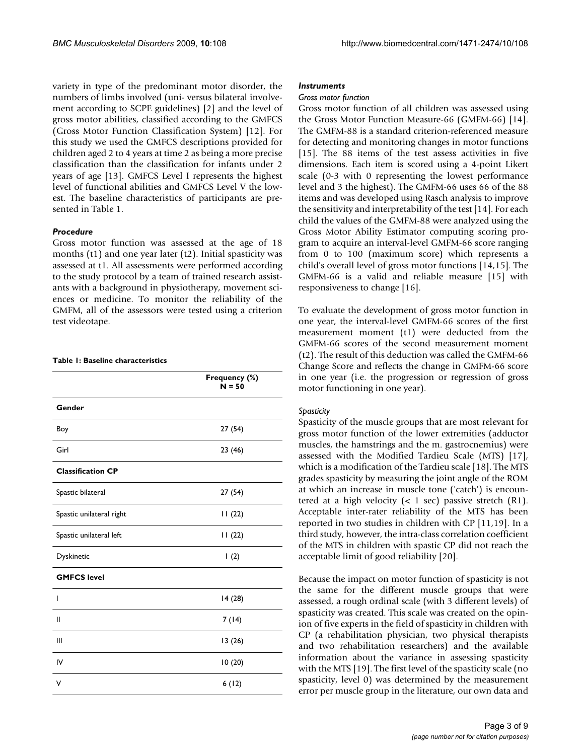variety in type of the predominant motor disorder, the numbers of limbs involved (uni- versus bilateral involvement according to SCPE guidelines) [2] and the level of gross motor abilities, classified according to the GMFCS (Gross Motor Function Classification System) [12]. For this study we used the GMFCS descriptions provided for children aged 2 to 4 years at time 2 as being a more precise classification than the classification for infants under 2 years of age [13]. GMFCS Level I represents the highest level of functional abilities and GMFCS Level V the lowest. The baseline characteristics of participants are presented in Table 1.

### *Procedure*

Gross motor function was assessed at the age of 18 months (t1) and one year later (t2). Initial spasticity was assessed at t1. All assessments were performed according to the study protocol by a team of trained research assistants with a background in physiotherapy, movement sciences or medicine. To monitor the reliability of the GMFM, all of the assessors were tested using a criterion test videotape.

#### **Table 1: Baseline characteristics**

|                          | Frequency (%)<br>$N = 50$ |
|--------------------------|---------------------------|
| Gender                   |                           |
| Boy                      | 27(54)                    |
| Girl                     | 23 (46)                   |
| <b>Classification CP</b> |                           |
| Spastic bilateral        | 27(54)                    |
| Spastic unilateral right | 11(22)                    |
| Spastic unilateral left  | 11(22)                    |
| Dyskinetic               | (2)                       |
| <b>GMFCS level</b>       |                           |
| ı                        | 14(28)                    |
| Ш                        | 7(14)                     |
| Ш                        | 13 (26)                   |
| IV                       | 10(20)                    |
| ٧                        | 6(12)                     |

#### *Instruments*

#### *Gross motor function*

Gross motor function of all children was assessed using the Gross Motor Function Measure-66 (GMFM-66) [14]. The GMFM-88 is a standard criterion-referenced measure for detecting and monitoring changes in motor functions [15]. The 88 items of the test assess activities in five dimensions. Each item is scored using a 4-point Likert scale (0-3 with 0 representing the lowest performance level and 3 the highest). The GMFM-66 uses 66 of the 88 items and was developed using Rasch analysis to improve the sensitivity and interpretability of the test [14]. For each child the values of the GMFM-88 were analyzed using the Gross Motor Ability Estimator computing scoring program to acquire an interval-level GMFM-66 score ranging from 0 to 100 (maximum score) which represents a child's overall level of gross motor functions [14,15]. The GMFM-66 is a valid and reliable measure [15] with responsiveness to change [16].

To evaluate the development of gross motor function in one year, the interval-level GMFM-66 scores of the first measurement moment (t1) were deducted from the GMFM-66 scores of the second measurement moment (t2). The result of this deduction was called the GMFM-66 Change Score and reflects the change in GMFM-66 score in one year (i.e. the progression or regression of gross motor functioning in one year).

## *Spasticity*

Spasticity of the muscle groups that are most relevant for gross motor function of the lower extremities (adductor muscles, the hamstrings and the m. gastrocnemius) were assessed with the Modified Tardieu Scale (MTS) [17], which is a modification of the Tardieu scale [18]. The MTS grades spasticity by measuring the joint angle of the ROM at which an increase in muscle tone ('catch') is encountered at a high velocity  $( $1 \text{ sec}$ ) passive stretch (R1).$ Acceptable inter-rater reliability of the MTS has been reported in two studies in children with CP [11,19]. In a third study, however, the intra-class correlation coefficient of the MTS in children with spastic CP did not reach the acceptable limit of good reliability [20].

Because the impact on motor function of spasticity is not the same for the different muscle groups that were assessed, a rough ordinal scale (with 3 different levels) of spasticity was created. This scale was created on the opinion of five experts in the field of spasticity in children with CP (a rehabilitation physician, two physical therapists and two rehabilitation researchers) and the available information about the variance in assessing spasticity with the MTS [19]. The first level of the spasticity scale (no spasticity, level 0) was determined by the measurement error per muscle group in the literature, our own data and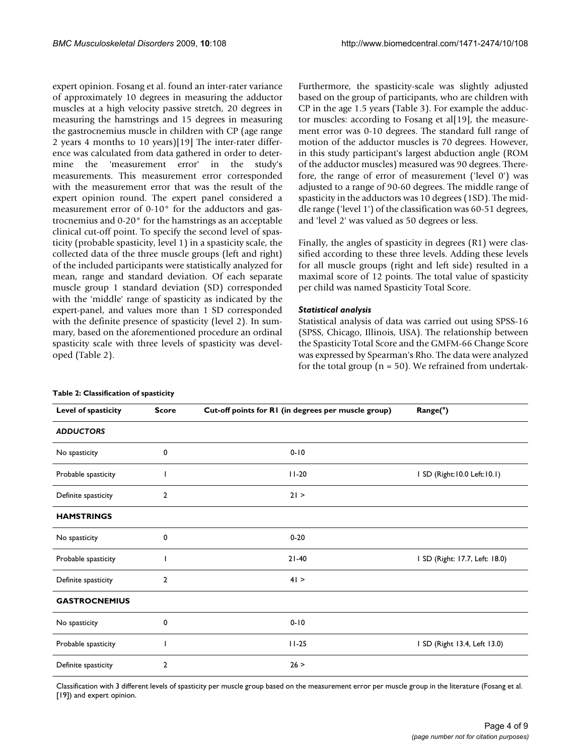expert opinion. Fosang et al. found an inter-rater variance of approximately 10 degrees in measuring the adductor muscles at a high velocity passive stretch, 20 degrees in measuring the hamstrings and 15 degrees in measuring the gastrocnemius muscle in children with CP (age range 2 years 4 months to 10 years)[19] The inter-rater difference was calculated from data gathered in order to determine the 'measurement error' in the study's measurements. This measurement error corresponded with the measurement error that was the result of the expert opinion round. The expert panel considered a measurement error of 0-10° for the adductors and gastrocnemius and 0-20° for the hamstrings as an acceptable clinical cut-off point. To specify the second level of spasticity (probable spasticity, level 1) in a spasticity scale, the collected data of the three muscle groups (left and right) of the included participants were statistically analyzed for mean, range and standard deviation. Of each separate muscle group 1 standard deviation (SD) corresponded with the 'middle' range of spasticity as indicated by the expert-panel, and values more than 1 SD corresponded with the definite presence of spasticity (level 2). In summary, based on the aforementioned procedure an ordinal spasticity scale with three levels of spasticity was developed (Table 2).

Furthermore, the spasticity-scale was slightly adjusted based on the group of participants, who are children with CP in the age 1.5 years (Table 3). For example the adductor muscles: according to Fosang et al[19], the measurement error was 0-10 degrees. The standard full range of motion of the adductor muscles is 70 degrees. However, in this study participant's largest abduction angle (ROM of the adductor muscles) measured was 90 degrees. Therefore, the range of error of measurement ('level 0') was adjusted to a range of 90-60 degrees. The middle range of spasticity in the adductors was 10 degrees (1SD). The middle range ('level 1') of the classification was 60-51 degrees, and 'level 2' was valued as 50 degrees or less.

Finally, the angles of spasticity in degrees (R1) were classified according to these three levels. Adding these levels for all muscle groups (right and left side) resulted in a maximal score of 12 points. The total value of spasticity per child was named Spasticity Total Score.

## *Statistical analysis*

Statistical analysis of data was carried out using SPSS-16 (SPSS, Chicago, Illinois, USA). The relationship between the Spasticity Total Score and the GMFM-66 Change Score was expressed by Spearman's Rho. The data were analyzed for the total group ( $n = 50$ ). We refrained from undertak-

| Level of spasticity  | <b>Score</b>   | Cut-off points for RI (in degrees per muscle group) | Range(°)                       |
|----------------------|----------------|-----------------------------------------------------|--------------------------------|
| <b>ADDUCTORS</b>     |                |                                                     |                                |
| No spasticity        | $\mathbf 0$    | $0 - 10$                                            |                                |
| Probable spasticity  |                | $11-20$                                             | I SD (Right: 10.0 Left: 10.1)  |
| Definite spasticity  | $\overline{2}$ | 21 >                                                |                                |
| <b>HAMSTRINGS</b>    |                |                                                     |                                |
| No spasticity        | 0              | $0 - 20$                                            |                                |
| Probable spasticity  |                | $21-40$                                             | I SD (Right: 17.7, Left: 18.0) |
| Definite spasticity  | 2              | 41 >                                                |                                |
| <b>GASTROCNEMIUS</b> |                |                                                     |                                |
| No spasticity        | 0              | $0 - 10$                                            |                                |
| Probable spasticity  |                | $11 - 25$                                           | I SD (Right 13.4, Left 13.0)   |
| Definite spasticity  | 2              | 26 >                                                |                                |

#### **Table 2: Classification of spasticity**

Classification with 3 different levels of spasticity per muscle group based on the measurement error per muscle group in the literature (Fosang et al. [19]) and expert opinion.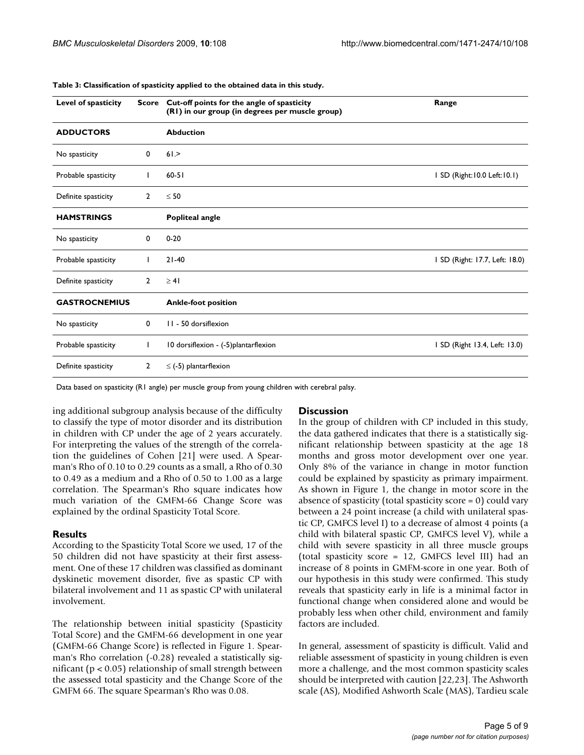| Level of spasticity  | Score          | Cut-off points for the angle of spasticity<br>(RI) in our group (in degrees per muscle group) | Range                          |
|----------------------|----------------|-----------------------------------------------------------------------------------------------|--------------------------------|
| <b>ADDUCTORS</b>     |                | <b>Abduction</b>                                                                              |                                |
| No spasticity        | $\mathbf 0$    | 61.                                                                                           |                                |
| Probable spasticity  | I.             | $60 - 51$                                                                                     | I SD (Right: 10.0 Left: 10.1)  |
| Definite spasticity  | $\overline{2}$ | $\leq 50$                                                                                     |                                |
| <b>HAMSTRINGS</b>    |                | <b>Popliteal angle</b>                                                                        |                                |
| No spasticity        | 0              | $0 - 20$                                                                                      |                                |
| Probable spasticity  | L              | $21 - 40$                                                                                     | I SD (Right: 17.7, Left: 18.0) |
| Definite spasticity  | $\overline{2}$ | $\geq 41$                                                                                     |                                |
| <b>GASTROCNEMIUS</b> |                | <b>Ankle-foot position</b>                                                                    |                                |
| No spasticity        | $\mathbf 0$    | 11 - 50 dorsiflexion                                                                          |                                |
| Probable spasticity  | L              | 10 dorsiflexion - (-5)plantarflexion                                                          | I SD (Right 13.4, Left: 13.0)  |
| Definite spasticity  | $\overline{2}$ | $\le$ (-5) plantarflexion                                                                     |                                |

#### **Table 3: Classification of spasticity applied to the obtained data in this study.**

Data based on spasticity (R1 angle) per muscle group from young children with cerebral palsy.

ing additional subgroup analysis because of the difficulty to classify the type of motor disorder and its distribution in children with CP under the age of 2 years accurately. For interpreting the values of the strength of the correlation the guidelines of Cohen [21] were used. A Spearman's Rho of 0.10 to 0.29 counts as a small, a Rho of 0.30 to 0.49 as a medium and a Rho of 0.50 to 1.00 as a large correlation. The Spearman's Rho square indicates how much variation of the GMFM-66 Change Score was explained by the ordinal Spasticity Total Score.

#### **Results**

According to the Spasticity Total Score we used, 17 of the 50 children did not have spasticity at their first assessment. One of these 17 children was classified as dominant dyskinetic movement disorder, five as spastic CP with bilateral involvement and 11 as spastic CP with unilateral involvement.

The relationship between initial spasticity (Spasticity Total Score) and the GMFM-66 development in one year (GMFM-66 Change Score) is reflected in Figure 1. Spearman's Rho correlation (-0.28) revealed a statistically significant ( $p < 0.05$ ) relationship of small strength between the assessed total spasticity and the Change Score of the GMFM 66. The square Spearman's Rho was 0.08.

#### **Discussion**

In the group of children with CP included in this study, the data gathered indicates that there is a statistically significant relationship between spasticity at the age 18 months and gross motor development over one year. Only 8% of the variance in change in motor function could be explained by spasticity as primary impairment. As shown in Figure 1, the change in motor score in the absence of spasticity (total spasticity score = 0) could vary between a 24 point increase (a child with unilateral spastic CP, GMFCS level I) to a decrease of almost 4 points (a child with bilateral spastic CP, GMFCS level V), while a child with severe spasticity in all three muscle groups (total spasticity score = 12, GMFCS level III) had an increase of 8 points in GMFM-score in one year. Both of our hypothesis in this study were confirmed. This study reveals that spasticity early in life is a minimal factor in functional change when considered alone and would be probably less when other child, environment and family factors are included.

In general, assessment of spasticity is difficult. Valid and reliable assessment of spasticity in young children is even more a challenge, and the most common spasticity scales should be interpreted with caution [22,23]. The Ashworth scale (AS), Modified Ashworth Scale (MAS), Tardieu scale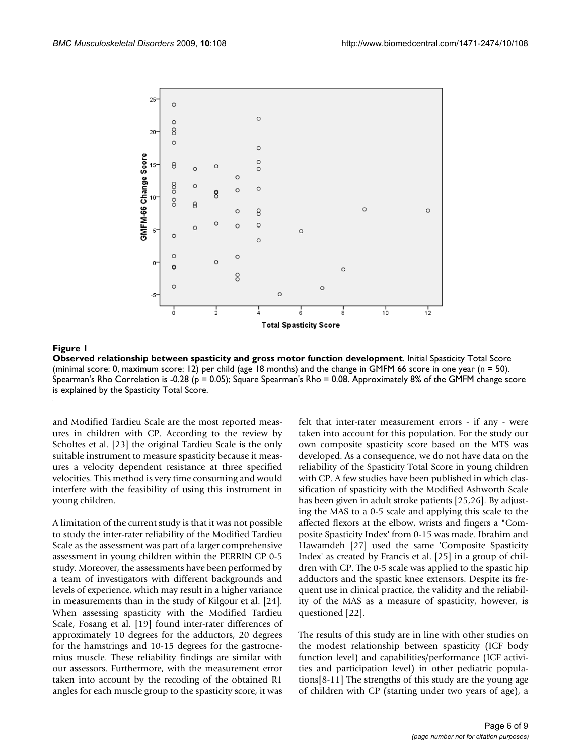

**Figure 1** Observed relationship between spasticity and gross motor function development of  $\mathcal{L}$ 

**Observed relationship between spasticity and gross motor function development**. Initial Spasticity Total Score (minimal score: 0, maximum score: 12) per child (age 18 months) and the change in GMFM 66 score in one year (n = 50). Spearman's Rho Correlation is -0.28 (p = 0.05); Square Spearman's Rho = 0.08. Approximately 8% of the GMFM change score is explained by the Spasticity Total Score.

and Modified Tardieu Scale are the most reported measures in children with CP. According to the review by Scholtes et al. [23] the original Tardieu Scale is the only suitable instrument to measure spasticity because it measures a velocity dependent resistance at three specified velocities. This method is very time consuming and would interfere with the feasibility of using this instrument in young children.

A limitation of the current study is that it was not possible to study the inter-rater reliability of the Modified Tardieu Scale as the assessment was part of a larger comprehensive assessment in young children within the PERRIN CP 0-5 study. Moreover, the assessments have been performed by a team of investigators with different backgrounds and levels of experience, which may result in a higher variance in measurements than in the study of Kilgour et al. [24]. When assessing spasticity with the Modified Tardieu Scale, Fosang et al. [19] found inter-rater differences of approximately 10 degrees for the adductors, 20 degrees for the hamstrings and 10-15 degrees for the gastrocnemius muscle. These reliability findings are similar with our assessors. Furthermore, with the measurement error taken into account by the recoding of the obtained R1 angles for each muscle group to the spasticity score, it was

felt that inter-rater measurement errors - if any - were taken into account for this population. For the study our own composite spasticity score based on the MTS was developed. As a consequence, we do not have data on the reliability of the Spasticity Total Score in young children with CP. A few studies have been published in which classification of spasticity with the Modified Ashworth Scale has been given in adult stroke patients [25,26]. By adjusting the MAS to a 0-5 scale and applying this scale to the affected flexors at the elbow, wrists and fingers a "Composite Spasticity Index' from 0-15 was made. Ibrahim and Hawamdeh [27] used the same 'Composite Spasticity Index' as created by Francis et al. [25] in a group of children with CP. The 0-5 scale was applied to the spastic hip adductors and the spastic knee extensors. Despite its frequent use in clinical practice, the validity and the reliability of the MAS as a measure of spasticity, however, is questioned [22].

The results of this study are in line with other studies on the modest relationship between spasticity (ICF body function level) and capabilities/performance (ICF activities and participation level) in other pediatric populations[8-11] The strengths of this study are the young age of children with CP (starting under two years of age), a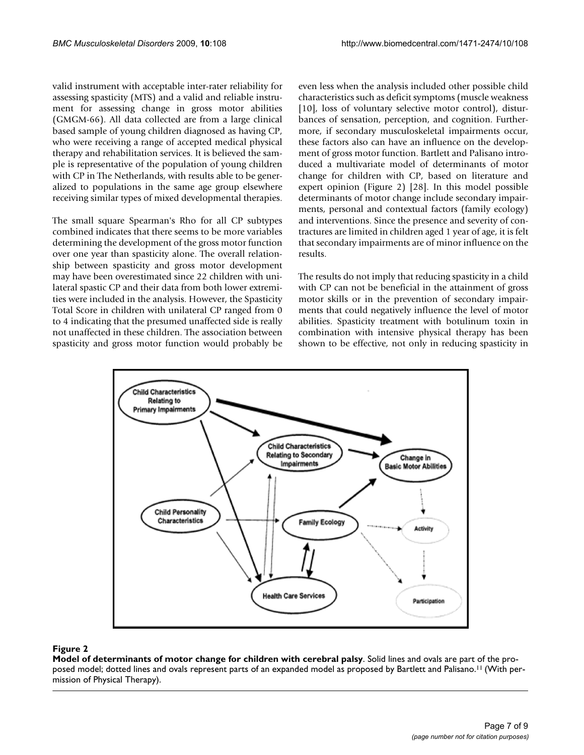valid instrument with acceptable inter-rater reliability for assessing spasticity (MTS) and a valid and reliable instrument for assessing change in gross motor abilities (GMGM-66). All data collected are from a large clinical based sample of young children diagnosed as having CP, who were receiving a range of accepted medical physical therapy and rehabilitation services. It is believed the sample is representative of the population of young children with CP in The Netherlands, with results able to be generalized to populations in the same age group elsewhere receiving similar types of mixed developmental therapies.

The small square Spearman's Rho for all CP subtypes combined indicates that there seems to be more variables determining the development of the gross motor function over one year than spasticity alone. The overall relationship between spasticity and gross motor development may have been overestimated since 22 children with unilateral spastic CP and their data from both lower extremities were included in the analysis. However, the Spasticity Total Score in children with unilateral CP ranged from 0 to 4 indicating that the presumed unaffected side is really not unaffected in these children. The association between spasticity and gross motor function would probably be even less when the analysis included other possible child characteristics such as deficit symptoms (muscle weakness [10], loss of voluntary selective motor control), disturbances of sensation, perception, and cognition. Furthermore, if secondary musculoskeletal impairments occur, these factors also can have an influence on the development of gross motor function. Bartlett and Palisano introduced a multivariate model of determinants of motor change for children with CP, based on literature and expert opinion (Figure 2) [28]. In this model possible determinants of motor change include secondary impairments, personal and contextual factors (family ecology) and interventions. Since the presence and severity of contractures are limited in children aged 1 year of age, it is felt that secondary impairments are of minor influence on the results.

The results do not imply that reducing spasticity in a child with CP can not be beneficial in the attainment of gross motor skills or in the prevention of secondary impairments that could negatively influence the level of motor abilities. Spasticity treatment with botulinum toxin in combination with intensive physical therapy has been shown to be effective, not only in reducing spasticity in



## Figure 2

**Model of determinants of motor change for children with cerebral palsy**. Solid lines and ovals are part of the proposed model; dotted lines and ovals represent parts of an expanded model as proposed by Bartlett and Palisano.<sup>11</sup> (With permission of Physical Therapy).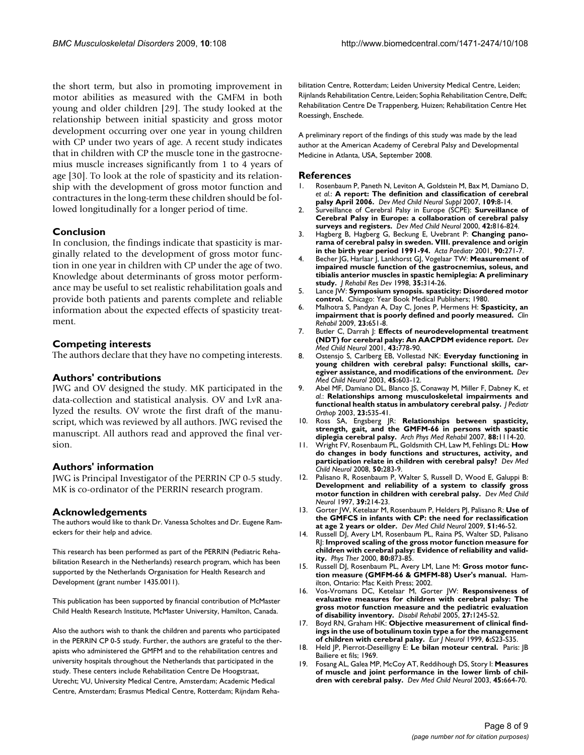the short term, but also in promoting improvement in motor abilities as measured with the GMFM in both young and older children [29]. The study looked at the relationship between initial spasticity and gross motor development occurring over one year in young children with CP under two years of age. A recent study indicates that in children with CP the muscle tone in the gastrocnemius muscle increases significantly from 1 to 4 years of age [30]. To look at the role of spasticity and its relationship with the development of gross motor function and contractures in the long-term these children should be followed longitudinally for a longer period of time.

## **Conclusion**

In conclusion, the findings indicate that spasticity is marginally related to the development of gross motor function in one year in children with CP under the age of two. Knowledge about determinants of gross motor performance may be useful to set realistic rehabilitation goals and provide both patients and parents complete and reliable information about the expected effects of spasticity treatment.

## **Competing interests**

The authors declare that they have no competing interests.

## **Authors' contributions**

JWG and OV designed the study. MK participated in the data-collection and statistical analysis. OV and LvR analyzed the results. OV wrote the first draft of the manuscript, which was reviewed by all authors. JWG revised the manuscript. All authors read and approved the final version.

## **Authors' information**

JWG is Principal Investigator of the PERRIN CP 0-5 study. MK is co-ordinator of the PERRIN research program.

## **Acknowledgements**

The authors would like to thank Dr. Vanessa Scholtes and Dr. Eugene Rameckers for their help and advice.

This research has been performed as part of the PERRIN (Pediatric Rehabilitation Research in the Netherlands) research program, which has been supported by the Netherlands Organisation for Health Research and Development (grant number 1435.0011).

This publication has been supported by financial contribution of McMaster Child Health Research Institute, McMaster University, Hamilton, Canada.

Also the authors wish to thank the children and parents who participated in the PERRIN CP 0-5 study. Further, the authors are grateful to the therapists who administered the GMFM and to the rehabilitation centres and university hospitals throughout the Netherlands that participated in the study. These centers include Rehabilitation Centre De Hoogstraat, Utrecht; VU, University Medical Centre, Amsterdam; Academic Medical Centre, Amsterdam; Erasmus Medical Centre, Rotterdam; Rijndam Rehabilitation Centre, Rotterdam; Leiden University Medical Centre, Leiden; Rijnlands Rehabilitation Centre, Leiden; Sophia Rehabilitation Centre, Delft; Rehabilitation Centre De Trappenberg, Huizen; Rehabilitation Centre Het Roessingh, Enschede.

A preliminary report of the findings of this study was made by the lead author at the American Academy of Cerebral Palsy and Developmental Medicine in Atlanta, USA, September 2008.

#### **References**

- 1. Rosenbaum P, Paneth N, Leviton A, Goldstein M, Bax M, Damiano D, et al.: **A** report: The definition and classification of cerebral *et al.*: **[A report: The definition and classification of cerebral](http://www.ncbi.nlm.nih.gov/entrez/query.fcgi?cmd=Retrieve&db=PubMed&dopt=Abstract&list_uids=17370477) [palsy April 2006.](http://www.ncbi.nlm.nih.gov/entrez/query.fcgi?cmd=Retrieve&db=PubMed&dopt=Abstract&list_uids=17370477)** *Dev Med Child Neurol Suppl* 2007, **109:**8-14.
- 2. Surveillance of Cerebral Palsy in Europe (SCPE): **[Surveillance of](http://www.ncbi.nlm.nih.gov/entrez/query.fcgi?cmd=Retrieve&db=PubMed&dopt=Abstract&list_uids=11132255) [Cerebral Palsy in Europe: a collaboration of cerebral palsy](http://www.ncbi.nlm.nih.gov/entrez/query.fcgi?cmd=Retrieve&db=PubMed&dopt=Abstract&list_uids=11132255) [surveys and registers.](http://www.ncbi.nlm.nih.gov/entrez/query.fcgi?cmd=Retrieve&db=PubMed&dopt=Abstract&list_uids=11132255)** *Dev Med Child Neurol* 2000, **42:**816-824.
- 3. Hagberg B, Hagberg G, Beckung E, Uvebrant P: **[Changing pano](http://www.ncbi.nlm.nih.gov/entrez/query.fcgi?cmd=Retrieve&db=PubMed&dopt=Abstract&list_uids=11332166)[rama of cerebral palsy in sweden. VIII. prevalence and origin](http://www.ncbi.nlm.nih.gov/entrez/query.fcgi?cmd=Retrieve&db=PubMed&dopt=Abstract&list_uids=11332166) [in the birth year period 1991-94.](http://www.ncbi.nlm.nih.gov/entrez/query.fcgi?cmd=Retrieve&db=PubMed&dopt=Abstract&list_uids=11332166)** *Acta Paediatr* 2001, **90:**271-7.
- 4. Becher JG, Harlaar J, Lankhorst GJ, Vogelaar TW: **[Measurement of](http://www.ncbi.nlm.nih.gov/entrez/query.fcgi?cmd=Retrieve&db=PubMed&dopt=Abstract&list_uids=9704315) [impaired muscle function of the gastrocnemius, soleus, and](http://www.ncbi.nlm.nih.gov/entrez/query.fcgi?cmd=Retrieve&db=PubMed&dopt=Abstract&list_uids=9704315) tibialis anterior muscles in spastic hemiplegia: A preliminary [study.](http://www.ncbi.nlm.nih.gov/entrez/query.fcgi?cmd=Retrieve&db=PubMed&dopt=Abstract&list_uids=9704315)** *J Rehabil Res Dev* 1998, **35:**314-26.
- 5. Lance JW: **Symposium synopsis. spasticity: Disordered motor control.** Chicago: Year Book Medical Publishers; 1980.
- 6. Malhotra S, Pandyan A, Day C, Jones P, Hermens H: **[Spasticity, an](http://www.ncbi.nlm.nih.gov/entrez/query.fcgi?cmd=Retrieve&db=PubMed&dopt=Abstract&list_uids=19470550) [impairment that is poorly defined and poorly measured.](http://www.ncbi.nlm.nih.gov/entrez/query.fcgi?cmd=Retrieve&db=PubMed&dopt=Abstract&list_uids=19470550)** *Clin Rehabil* 2009, **23:**651-8.
- 7. Butler C, Darrah J: **[Effects of neurodevelopmental treatment](http://www.ncbi.nlm.nih.gov/entrez/query.fcgi?cmd=Retrieve&db=PubMed&dopt=Abstract&list_uids=11730153) [\(NDT\) for cerebral palsy: An AACPDM evidence report.](http://www.ncbi.nlm.nih.gov/entrez/query.fcgi?cmd=Retrieve&db=PubMed&dopt=Abstract&list_uids=11730153)** *Dev Med Child Neurol* 2001, **43:**778-90.
- 8. Ostensjo S, Carlberg EB, Vollestad NK: **[Everyday functioning in](http://www.ncbi.nlm.nih.gov/entrez/query.fcgi?cmd=Retrieve&db=PubMed&dopt=Abstract&list_uids=12948327) [young children with cerebral palsy: Functional skills, car](http://www.ncbi.nlm.nih.gov/entrez/query.fcgi?cmd=Retrieve&db=PubMed&dopt=Abstract&list_uids=12948327)[egiver assistance, and modifications of the environment.](http://www.ncbi.nlm.nih.gov/entrez/query.fcgi?cmd=Retrieve&db=PubMed&dopt=Abstract&list_uids=12948327)** *Dev Med Child Neurol* 2003, **45:**603-12.
- 9. Abel MF, Damiano DL, Blanco JS, Conaway M, Miller F, Dabney K, *et al.*: **[Relationships among musculoskeletal impairments and](http://www.ncbi.nlm.nih.gov/entrez/query.fcgi?cmd=Retrieve&db=PubMed&dopt=Abstract&list_uids=12826956) [functional health status in ambulatory cerebral palsy.](http://www.ncbi.nlm.nih.gov/entrez/query.fcgi?cmd=Retrieve&db=PubMed&dopt=Abstract&list_uids=12826956)** *J Pediatr Orthop* 2003, **23:**535-41.
- 10. Ross SA, Engsberg JR: **[Relationships between spasticity,](http://www.ncbi.nlm.nih.gov/entrez/query.fcgi?cmd=Retrieve&db=PubMed&dopt=Abstract&list_uids=17826455) [strength, gait, and the GMFM-66 in persons with spastic](http://www.ncbi.nlm.nih.gov/entrez/query.fcgi?cmd=Retrieve&db=PubMed&dopt=Abstract&list_uids=17826455) [diplegia cerebral palsy.](http://www.ncbi.nlm.nih.gov/entrez/query.fcgi?cmd=Retrieve&db=PubMed&dopt=Abstract&list_uids=17826455)** *Arch Phys Med Rehabil* 2007, **88:**1114-20.
- 11. Wright FV, Rosenbaum PL, Goldsmith CH, Law M, Fehlings DL: **[How](http://www.ncbi.nlm.nih.gov/entrez/query.fcgi?cmd=Retrieve&db=PubMed&dopt=Abstract&list_uids=18312423) [do changes in body functions and structures, activity, and](http://www.ncbi.nlm.nih.gov/entrez/query.fcgi?cmd=Retrieve&db=PubMed&dopt=Abstract&list_uids=18312423) [participation relate in children with cerebral palsy?](http://www.ncbi.nlm.nih.gov/entrez/query.fcgi?cmd=Retrieve&db=PubMed&dopt=Abstract&list_uids=18312423)** *Dev Med Child Neurol* 2008, **50:**283-9.
- 12. Palisano R, Rosenbaum P, Walter S, Russell D, Wood E, Galuppi B: **[Development and reliability of a system to classify gross](http://www.ncbi.nlm.nih.gov/entrez/query.fcgi?cmd=Retrieve&db=PubMed&dopt=Abstract&list_uids=9183258) [motor function in children with cerebral palsy.](http://www.ncbi.nlm.nih.gov/entrez/query.fcgi?cmd=Retrieve&db=PubMed&dopt=Abstract&list_uids=9183258)** *Dev Med Child Neurol* 1997, **39:**214-23.
- 13. Gorter JW, Ketelaar M, Rosenbaum P, Helders PJ, Palisano R: **[Use of](http://www.ncbi.nlm.nih.gov/entrez/query.fcgi?cmd=Retrieve&db=PubMed&dopt=Abstract&list_uids=19018834) [the GMFCS in infants with CP: the need for reclassification](http://www.ncbi.nlm.nih.gov/entrez/query.fcgi?cmd=Retrieve&db=PubMed&dopt=Abstract&list_uids=19018834) [at age 2 years or older.](http://www.ncbi.nlm.nih.gov/entrez/query.fcgi?cmd=Retrieve&db=PubMed&dopt=Abstract&list_uids=19018834)** *Dev Med Child Neurol* 2009, **51:**46-52.
- 14. Russell DJ, Avery LM, Rosenbaum PL, Raina PS, Walter SD, Palisano RJ: **[Improved scaling of the gross motor function measure for](http://www.ncbi.nlm.nih.gov/entrez/query.fcgi?cmd=Retrieve&db=PubMed&dopt=Abstract&list_uids=10960935) [children with cerebral palsy: Evidence of reliability and valid](http://www.ncbi.nlm.nih.gov/entrez/query.fcgi?cmd=Retrieve&db=PubMed&dopt=Abstract&list_uids=10960935)[ity.](http://www.ncbi.nlm.nih.gov/entrez/query.fcgi?cmd=Retrieve&db=PubMed&dopt=Abstract&list_uids=10960935)** *Phys Ther* 2000, **80:**873-85.
- 15. Russell DJ, Rosenbaum PL, Avery LM, Lane M: **Gross motor function measure (GMFM-66 & GMFM-88) User's manual.** Hamilton, Ontario: Mac Keith Press; 2002.
- 16. Vos-Vromans DC, Ketelaar M, Gorter JW: **[Responsiveness of](http://www.ncbi.nlm.nih.gov/entrez/query.fcgi?cmd=Retrieve&db=PubMed&dopt=Abstract&list_uids=16298926) [evaluative measures for children with cerebral palsy: The](http://www.ncbi.nlm.nih.gov/entrez/query.fcgi?cmd=Retrieve&db=PubMed&dopt=Abstract&list_uids=16298926) gross motor function measure and the pediatric evaluation [of disability inventory.](http://www.ncbi.nlm.nih.gov/entrez/query.fcgi?cmd=Retrieve&db=PubMed&dopt=Abstract&list_uids=16298926)** *Disabil Rehabil* 2005, **27:**1245-52.
- 17. Boyd RN, Graham HK: **Objective measurement of clinical findings in the use of botulinum toxin type a for the management of children with cerebral palsy.** *Eur J Neurol* 1999, **6:**S23-S35.
- 18. Held JP, Pierrot-Deseilligny E: **Le bilan moteur central.** Paris: JB Bailiere et fils; 1969.
- 19. Fosang AL, Galea MP, McCoy AT, Reddihough DS, Story I: **[Measures](http://www.ncbi.nlm.nih.gov/entrez/query.fcgi?cmd=Retrieve&db=PubMed&dopt=Abstract&list_uids=14515937) [of muscle and joint performance in the lower limb of chil](http://www.ncbi.nlm.nih.gov/entrez/query.fcgi?cmd=Retrieve&db=PubMed&dopt=Abstract&list_uids=14515937)[dren with cerebral palsy.](http://www.ncbi.nlm.nih.gov/entrez/query.fcgi?cmd=Retrieve&db=PubMed&dopt=Abstract&list_uids=14515937)** *Dev Med Child Neurol* 2003, **45:**664-70.